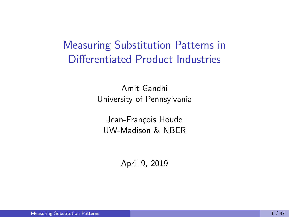# <span id="page-0-0"></span>Measuring Substitution Patterns in Differentiated Product Industries

Amit Gandhi University of Pennsylvania

Jean-François Houde UW-Madison & NBER

April 9, 2019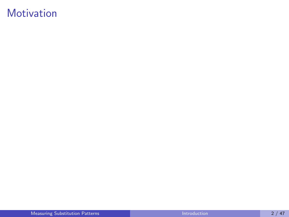# <span id="page-1-0"></span>**Motivation**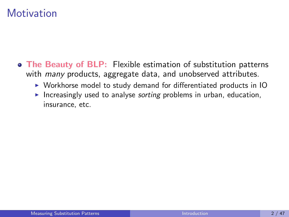### **Motivation**

- The Beauty of BLP: Flexible estimation of substitution patterns with *many* products, aggregate data, and unobserved attributes.
	- $\triangleright$  Workhorse model to study demand for differentiated products in IO
	- Increasingly used to analyse *sorting* problems in urban, education, insurance, etc.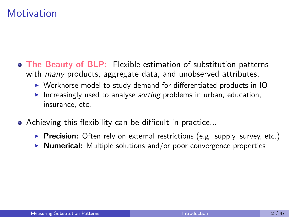### **Motivation**

- The Beauty of BLP: Flexible estimation of substitution patterns with *many* products, aggregate data, and unobserved attributes.
	- $\triangleright$  Workhorse model to study demand for differentiated products in IO
	- Increasingly used to analyse *sorting* problems in urban, education, insurance, etc.
- Achieving this flexibility can be difficult in practice...
	- Precision: Often rely on external restrictions (e.g. supply, survey, etc.)
	- $\triangleright$  **Numerical:** Multiple solutions and/or poor convergence properties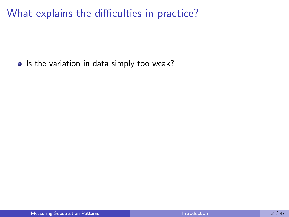• Is the variation in data simply too weak?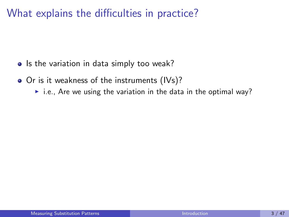- Is the variation in data simply too weak?
- Or is it weakness of the instruments (IVs)?
	- $\triangleright$  i.e., Are we using the variation in the data in the optimal way?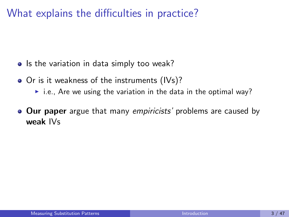- Is the variation in data simply too weak?
- Or is it weakness of the instruments (IVs)?
	- $\triangleright$  i.e., Are we using the variation in the data in the optimal way?
- **Our paper** argue that many empiricists' problems are caused by weak IVs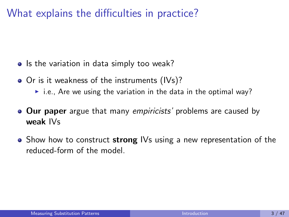- Is the variation in data simply too weak?
- Or is it weakness of the instruments (IVs)?
	- $\triangleright$  i.e., Are we using the variation in the data in the optimal way?
- **Our paper** argue that many empiricists' problems are caused by weak IVs
- $\bullet$  Show how to construct strong IVs using a new representation of the reduced-form of the model.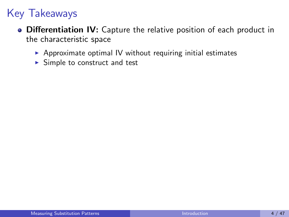- **Differentiation IV:** Capture the relative position of each product in the characteristic space
	- $\triangleright$  Approximate optimal IV without requiring initial estimates
	- $\triangleright$  Simple to construct and test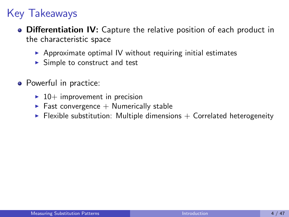- **Differentiation IV:** Capture the relative position of each product in the characteristic space
	- $\triangleright$  Approximate optimal IV without requiring initial estimates
	- $\triangleright$  Simple to construct and test
- Powerful in practice:
	- $\blacktriangleright$  10+ improvement in precision
	- $\blacktriangleright$  Fast convergence  $+$  Numerically stable
	- $\blacktriangleright$  Flexible substitution: Multiple dimensions  $+$  Correlated heterogeneity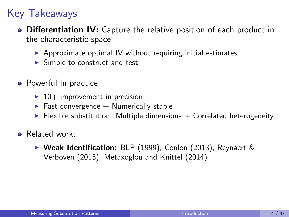- **Differentiation IV:** Capture the relative position of each product in the characteristic space
	- $\triangleright$  Approximate optimal IV without requiring initial estimates
	- $\triangleright$  Simple to construct and test
- Powerful in practice:
	- $\blacktriangleright$  10+ improvement in precision
	- $\blacktriangleright$  Fast convergence  $+$  Numerically stable
	- $\blacktriangleright$  Flexible substitution: Multiple dimensions  $+$  Correlated heterogeneity
- **a** Related work:
	- $\triangleright$  Weak Identification: BLP (1999), Conlon (2013), Reynaert & Verboven (2013), Metaxoglou and Knittel (2014)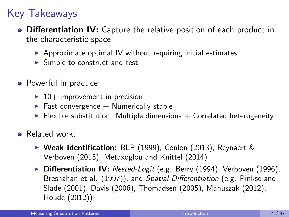- **Differentiation IV:** Capture the relative position of each product in the characteristic space
	- $\triangleright$  Approximate optimal IV without requiring initial estimates
	- $\triangleright$  Simple to construct and test
- Powerful in practice:
	- $\blacktriangleright$  10+ improvement in precision
	- $\blacktriangleright$  Fast convergence  $+$  Numerically stable
	- $\blacktriangleright$  Flexible substitution: Multiple dimensions  $+$  Correlated heterogeneity
- **•** Related work:
	- $\triangleright$  Weak Identification: BLP (1999), Conlon (2013), Reynaert & Verboven (2013), Metaxoglou and Knittel (2014)
	- ▶ Differentiation IV: Nested-Logit (e.g. Berry (1994), Verboven (1996), Bresnahan et al. (1997)), and Spatial Differentiation (e.g. Pinkse and Slade (2001), Davis (2006), Thomadsen (2005), Manuszak (2012), Houde (2012))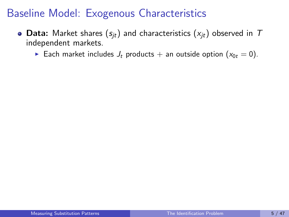## <span id="page-13-0"></span>Baseline Model: Exogenous Characteristics

- Data: Market shares  $(s_{it})$  and characteristics  $(x_{it})$  observed in  $T$ independent markets.
	- Each market includes  $J_t$  products + an outside option  $(x_{0t} = 0)$ .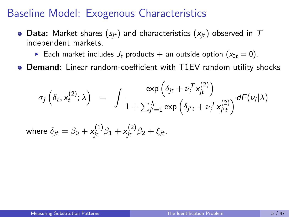#### Baseline Model: Exogenous Characteristics

- Data: Market shares  $(s_{it})$  and characteristics  $(x_{it})$  observed in T independent markets.
	- Each market includes  $J_t$  products + an outside option  $(x_{0t} = 0)$ .
- Demand: Linear random-coefficient with T1EV random utility shocks

$$
\sigma_j\left(\delta_t, x_t^{(2)}; \lambda\right) = \int \frac{\exp\left(\delta_{jt} + \nu_i^T x_{jt}^{(2)}\right)}{1 + \sum_{j'=1}^J \exp\left(\delta_{j't} + \nu_i^T x_{j't}^{(2)}\right)} dF(\nu_i|\lambda)
$$

where  $\delta_{jt} = \beta_0 + \mathsf{x}_{jt}^{(1)} \beta_1 + \mathsf{x}_{jt}^{(2)} \beta_2 + \xi_{jt}.$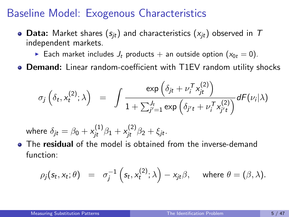#### Baseline Model: Exogenous Characteristics

- Data: Market shares  $(s_{it})$  and characteristics  $(x_{it})$  observed in T independent markets.
	- Each market includes  $J_t$  products + an outside option  $(x_{0t} = 0)$ .
- Demand: Linear random-coefficient with T1EV random utility shocks

$$
\sigma_j\left(\delta_t, x_t^{(2)}; \lambda\right) = \int \frac{\exp\left(\delta_{jt} + \nu_i^T x_{jt}^{(2)}\right)}{1 + \sum_{j'=1}^J \exp\left(\delta_{j't} + \nu_i^T x_{j't}^{(2)}\right)} dF(\nu_i|\lambda)
$$

where  $\delta_{jt} = \beta_0 + \mathsf{x}_{jt}^{(1)} \beta_1 + \mathsf{x}_{jt}^{(2)} \beta_2 + \xi_{jt}.$ 

• The **residual** of the model is obtained from the inverse-demand function:

$$
\rho_j(s_t, x_t; \theta) = \sigma_j^{-1}\left(s_t, x_t^{(2)}; \lambda\right) - x_{jt}\beta, \quad \text{where } \theta = (\beta, \lambda).
$$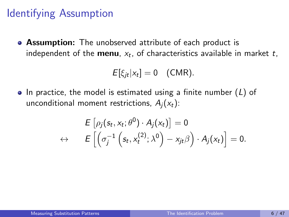## Identifying Assumption

**• Assumption:** The unobserved attribute of each product is independent of the **menu**,  $x_t$ , of characteristics available in market  $t$ ,

$$
E[\xi_{jt}|x_t]=0
$$
 (CMR).

 $\bullet$  In practice, the model is estimated using a finite number (L) of unconditional moment restrictions,  $A_i(x_t)$ :

$$
E\left[\rho_j(s_t,x_t;\theta^0)\cdot A_j(x_t)\right]=0
$$
  

$$
\leftrightarrow \qquad E\left[\left(\sigma_j^{-1}\left(s_t,x_t^{(2)};\lambda^0\right)-x_{jt}\beta\right)\cdot A_j(x_t)\right]=0.
$$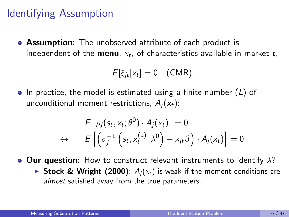# Identifying Assumption

**• Assumption:** The unobserved attribute of each product is independent of the **menu**,  $x_t$ , of characteristics available in market  $t$ ,

$$
E[\xi_{jt}|x_t] = 0
$$
 (CMR).

 $\bullet$  In practice, the model is estimated using a finite number (L) of unconditional moment restrictions,  $A_i(x_t)$ :

$$
E\left[\rho_j(s_t,x_t;\theta^0)\cdot A_j(x_t)\right]=0
$$
  

$$
\leftrightarrow \qquad E\left[\left(\sigma_j^{-1}\left(s_t,x_t^{(2)};\lambda^0\right)-x_{jt}\beta\right)\cdot A_j(x_t)\right]=0.
$$

• Our question: How to construct relevant instruments to identify  $\lambda$ ?

Stock & Wright (2000):  $A_i(x_t)$  is weak if the moment conditions are almost satisfied away from the true parameters.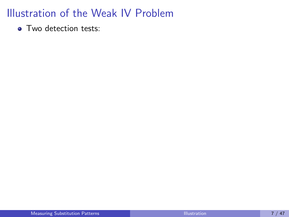<span id="page-18-0"></span>• Two detection tests: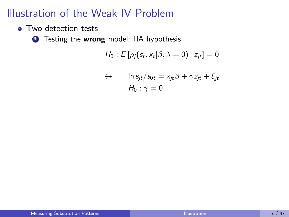• Two detection tests:

**1** Testing the wrong model: IIA hypothesis

$$
H_0: E[\rho_j(s_t, x_t | \beta, \lambda = 0) \cdot z_{jt}] = 0
$$

$$
\leftrightarrow \qquad \ln s_{jt}/s_{0t} = x_{jt}\beta + \gamma z_{jt} + \xi_{jt}
$$

$$
H_0: \gamma = 0
$$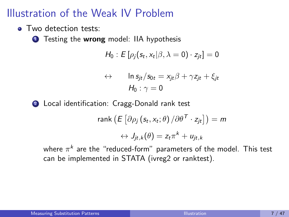• Two detection tests:

**1** Testing the **wrong** model: IIA hypothesis

$$
H_0: E[\rho_j(s_t, x_t | \beta, \lambda = 0) \cdot z_{jt}] = 0
$$

$$
\leftrightarrow \qquad \ln s_{jt}/s_{0t} = x_{jt}\beta + \gamma z_{jt} + \xi_{jt}
$$

$$
H_0: \gamma = 0
$$

2 Local identification: Cragg-Donald rank test

rank 
$$
(E[\partial \rho_j (s_t, x_t; \theta) / \partial \theta^T \cdot z_{jt}]) = m
$$
  
 $\leftrightarrow J_{jt,k}(\theta) = z_t \pi^k + u_{jt,k}$ 

where  $\pi^k$  are the "reduced-form" parameters of the model. This test can be implemented in STATA (ivreg2 or ranktest).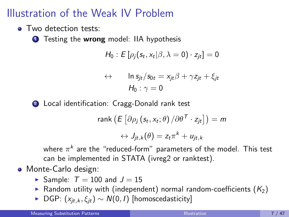• Two detection tests:

**1** Testing the **wrong** model: IIA hypothesis

$$
H_0: E[\rho_j(s_t, x_t | \beta, \lambda = 0) \cdot z_{jt}] = 0
$$

$$
\leftrightarrow \qquad \ln s_{jt}/s_{0t} = x_{jt}\beta + \gamma z_{jt} + \xi_{jt}
$$

$$
H_0: \gamma = 0
$$

2 Local identification: Cragg-Donald rank test

rank 
$$
(E[\partial \rho_j (s_t, x_t; \theta) / \partial \theta^T \cdot z_{jt}]) = m
$$
  
 $\leftrightarrow J_{jt,k}(\theta) = z_t \pi^k + u_{jt,k}$ 

where  $\pi^k$  are the "reduced-form" parameters of the model. This test can be implemented in STATA (ivreg2 or ranktest).

- Monte-Carlo design:
	- Sample:  $T = 100$  and  $J = 15$
	- **•** Random utility with (independent) normal random-coefficients  $(K_2)$
	- ► DGP:  $(x_{it,k}, \xi_{it}) \sim N(0, I)$  [homoscedasticity]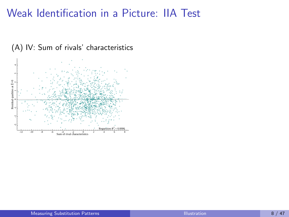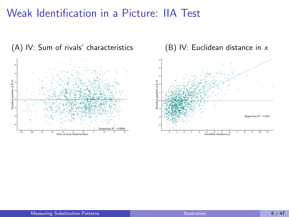

(B) IV: Euclidean distance in x

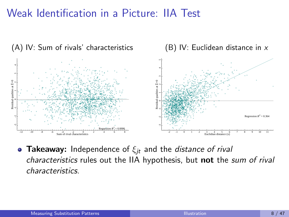

• Takeaway: Independence of  $\xi_{it}$  and the *distance of rival* characteristics rules out the IIA hypothesis, but not the sum of rival characteristics.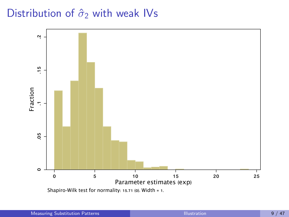## Distribution of  $\hat{\sigma}_2$  with weak IVs

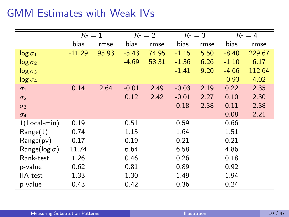# GMM Estimates with Weak IVs

|                       | $K_2=1$  |       | $K_2 = 2$ |       | $K_2 = 3$ |      | $K_2 = 4$ |        |
|-----------------------|----------|-------|-----------|-------|-----------|------|-----------|--------|
|                       | bias     | rmse  | bias      | rmse  | bias      | rmse | bias      | rmse   |
| $log \sigma_1$        | $-11.29$ | 95.93 | $-5.43$   | 74.95 | $-1.15$   | 5.50 | $-8.40$   | 229.67 |
| $log \sigma_2$        |          |       | $-4.69$   | 58.31 | $-1.36$   | 6.26 | $-1.10$   | 6.17   |
| $log \sigma_3$        |          |       |           |       | $-1.41$   | 9.20 | $-4.66$   | 112.64 |
| $log \sigma_4$        |          |       |           |       |           |      | $-0.93$   | 4.02   |
| $\sigma_1$            | 0.14     | 2.64  | $-0.01$   | 2.49  | $-0.03$   | 2.19 | 0.22      | 2.35   |
| $\sigma_2$            |          |       | 0.12      | 2.42  | $-0.01$   | 2.27 | 0.10      | 2.30   |
| $\sigma_3$            |          |       |           |       | 0.18      | 2.38 | 0.11      | 2.38   |
| $\sigma_4$            |          |       |           |       |           |      | 0.08      | 2.21   |
| $1$ (Local-min)       | 0.19     |       | 0.51      |       | 0.59      |      | 0.66      |        |
| Range(J)              | 0.74     |       | 1.15      |       | 1.64      |      | 1.51      |        |
| Range(pv)             | 0.17     |       | 0.19      |       | 0.21      |      | 0.21      |        |
| Range( $log \sigma$ ) | 11.74    |       | 6.64      |       | 6.58      |      | 4.86      |        |
| Rank-test             | 1.26     |       | 0.46      |       | 0.26      |      | 0.18      |        |
| p-value               | 0.62     |       | 0.81      |       | 0.89      |      | 0.92      |        |
| <b>IIA-test</b>       | 1.33     |       | 1.30      |       | 1.49      |      | 1.94      |        |
| p-value               | 0.43     |       | 0.42      |       | 0.36      |      | 0.24      |        |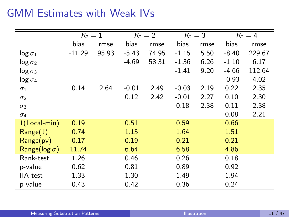# GMM Estimates with Weak IVs

|                       | $K_2=1$  |       | $K_2 = 2$ |       | $K_2 = 3$ |      | $K_2=4$ |        |
|-----------------------|----------|-------|-----------|-------|-----------|------|---------|--------|
|                       | bias     | rmse  | bias      | rmse  | bias      | rmse | bias    | rmse   |
| $log \sigma_1$        | $-11.29$ | 95.93 | $-5.43$   | 74.95 | $-1.15$   | 5.50 | $-8.40$ | 229.67 |
| $log \sigma_2$        |          |       | $-4.69$   | 58.31 | $-1.36$   | 6.26 | $-1.10$ | 6.17   |
| $log \sigma_3$        |          |       |           |       | $-1.41$   | 9.20 | $-4.66$ | 112.64 |
| $log \sigma_4$        |          |       |           |       |           |      | $-0.93$ | 4.02   |
| $\sigma_1$            | 0.14     | 2.64  | $-0.01$   | 2.49  | $-0.03$   | 2.19 | 0.22    | 2.35   |
| $\sigma_2$            |          |       | 0.12      | 2.42  | $-0.01$   | 2.27 | 0.10    | 2.30   |
| $\sigma_3$            |          |       |           |       | 0.18      | 2.38 | 0.11    | 2.38   |
| $\sigma_4$            |          |       |           |       |           |      | 0.08    | 2.21   |
| $1(Local-min)$        | 0.19     |       | 0.51      |       | 0.59      |      | 0.66    |        |
| Range(J)              | 0.74     |       | 1.15      |       | 1.64      |      | 1.51    |        |
| Range(pv)             | 0.17     |       | 0.19      |       | 0.21      |      | 0.21    |        |
| Range( $log \sigma$ ) | 11.74    |       | 6.64      |       | 6.58      |      | 4.86    |        |
| Rank-test             | 1.26     |       | 0.46      |       | 0.26      |      | 0.18    |        |
| p-value               | 0.62     |       | 0.81      |       | 0.89      |      | 0.92    |        |
| <b>IIA-test</b>       | 1.33     |       | 1.30      |       | 1.49      |      | 1.94    |        |
| p-value               | 0.43     |       | 0.42      |       | 0.36      |      | 0.24    |        |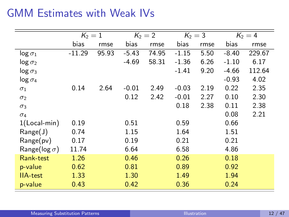# GMM Estimates with Weak IVs

|                       | $K_2=1$  |       | $K_2 = 2$ |       | $K_2 = 3$ |      | $K_2=4$ |        |
|-----------------------|----------|-------|-----------|-------|-----------|------|---------|--------|
|                       | bias     | rmse  | bias      | rmse  | bias      | rmse | bias    | rmse   |
| $log \sigma_1$        | $-11.29$ | 95.93 | $-5.43$   | 74.95 | $-1.15$   | 5.50 | $-8.40$ | 229.67 |
| $log \sigma_2$        |          |       | $-4.69$   | 58.31 | $-1.36$   | 6.26 | $-1.10$ | 6.17   |
| $log \sigma_3$        |          |       |           |       | $-1.41$   | 9.20 | $-4.66$ | 112.64 |
| $log \sigma_4$        |          |       |           |       |           |      | $-0.93$ | 4.02   |
| $\sigma_1$            | 0.14     | 2.64  | $-0.01$   | 2.49  | $-0.03$   | 2.19 | 0.22    | 2.35   |
| $\sigma_2$            |          |       | 0.12      | 2.42  | $-0.01$   | 2.27 | 0.10    | 2.30   |
| $\sigma_3$            |          |       |           |       | 0.18      | 2.38 | 0.11    | 2.38   |
| $\sigma_4$            |          |       |           |       |           |      | 0.08    | 2.21   |
| $1$ (Local-min)       | 0.19     |       | 0.51      |       | 0.59      |      | 0.66    |        |
| Range(J)              | 0.74     |       | 1.15      |       | 1.64      |      | 1.51    |        |
| Range(pv)             | 0.17     |       | 0.19      |       | 0.21      |      | 0.21    |        |
| Range( $log \sigma$ ) | 11.74    |       | 6.64      |       | 6.58      |      | 4.86    |        |
| Rank-test             | 1.26     |       | 0.46      |       | 0.26      |      | 0.18    |        |
| p-value               | 0.62     |       | 0.81      |       | 0.89      |      | 0.92    |        |
| <b>IIA-test</b>       | 1.33     |       | 1.30      |       | 1.49      |      | 1.94    |        |
| p-value               | 0.43     |       | 0.42      |       | 0.36      |      | 0.24    |        |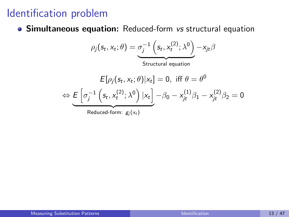## <span id="page-30-0"></span>Identification problem

Simultaneous equation: Reduced-form vs structural equation

$$
\rho_j(s_t, x_t; \theta) = \underbrace{\sigma_j^{-1} \left(s_t, x_t^{(2)}; \lambda^0\right)}_{\text{Structural equation}} - x_{jt} \beta
$$
\n
$$
E[\rho_j(s_t, x_t; \theta) | x_t] = 0, \text{ iff } \theta = \theta^0
$$
\n
$$
E\left[\sigma_j^{-1} \left(s_t, x_t^{(2)}; \lambda^0\right) | x_t\right] - \beta_0 - x_{t}^{(1)} \beta_1 - x_{t}^{(2)} \beta_2
$$

$$
E[\rho_j(s_t, x_t; \theta)|x_t] = 0, \text{ iff } \theta = \theta^0
$$
  
\n
$$
\Leftrightarrow \underbrace{E\left[\sigma_j^{-1}\left(s_t, x_t^{(2)}; \lambda^0\right)|x_t\right]}_{\text{Reduced-form: } g_j(x_t)} - \beta_0 - x_{jt}^{(1)}\beta_1 - x_{jt}^{(2)}\beta_2 = 0
$$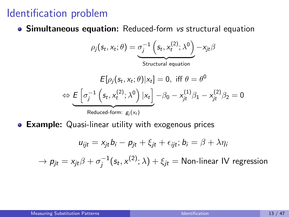### Identification problem

Simultaneous equation: Reduced-form vs structural equation

$$
\rho_j(s_t, x_t; \theta) = \underbrace{\sigma_j^{-1} \left(s_t, x_t^{(2)}; \lambda^0\right)}_{\text{Structural equation}} -x_{jt} \beta
$$

$$
E[\rho_j(s_t, x_t; \theta)|x_t] = 0, \text{ iff } \theta = \theta^0
$$
  
\n
$$
\Leftrightarrow \underbrace{E\left[\sigma_j^{-1}\left(s_t, x_t^{(2)}; \lambda^0\right)|x_t\right]}_{\text{Reduced-form: } g_j(x_t)} - \beta_0 - x_{jt}^{(1)}\beta_1 - x_{jt}^{(2)}\beta_2 = 0
$$

Example: Quasi-linear utility with exogenous prices

$$
u_{ijt} = x_{jt}b_i - p_{jt} + \xi_{jt} + \epsilon_{ijt}; b_i = \beta + \lambda \eta_i
$$

$$
\rightarrow p_{jt} = x_{jt}\beta + \sigma_j^{-1}(s_t, x^{(2)}; \lambda) + \xi_{jt} = \text{Non-linear IV regression}
$$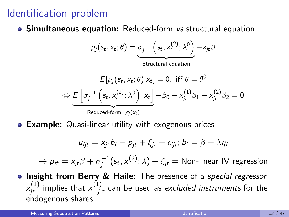# Identification problem

**• Simultaneous equation:** Reduced-form vs structural equation

$$
\rho_j(s_t, x_t; \theta) = \underbrace{\sigma_j^{-1}\left(s_t, x_t^{(2)}; \lambda^0\right)}_{\text{Structural equation}} - x_{jt}\beta
$$

$$
E[\rho_j(s_t, x_t; \theta)|x_t] = 0, \text{ iff } \theta = \theta^0
$$
  
\n
$$
\Leftrightarrow \underbrace{E\left[\sigma_j^{-1}\left(s_t, x_t^{(2)}; \lambda^0\right)|x_t\right]}_{\text{Reduced-form: } g_j(x_t)} - \beta_0 - x_{jt}^{(1)}\beta_1 - x_{jt}^{(2)}\beta_2 = 0
$$

**• Example:** Quasi-linear utility with exogenous prices

$$
u_{ijt} = x_{jt}b_i - p_{jt} + \xi_{jt} + \epsilon_{ijt}; b_i = \beta + \lambda \eta_i
$$

 $\rightarrow p_{jt} = x_{jt}\beta + \sigma_i^{-1}$  $j_{j}^{-1}(\mathit{s}_{t}, x^{(2)}; \lambda) + \xi_{jt} =$  Non-linear IV regression

**Insight from Berry & Haile:** The presence of a special regressor  $\mathsf{x}_{jt}^{(1)}$  implies that  $\mathsf{x}_{-j,}^{(1)}$  $\chi_{-j,t}^{(1)}$  can be used as *excluded instruments* for the endogenous shares.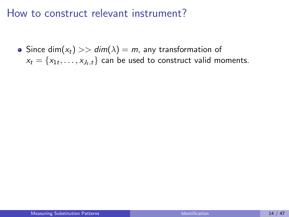#### How to construct relevant instrument?

• Since dim( $x_t$ ) >> dim( $\lambda$ ) = m, any transformation of  $x_t = \{x_{1t}, \ldots, x_{J_t,t}\}\;$  can be used to construct valid moments.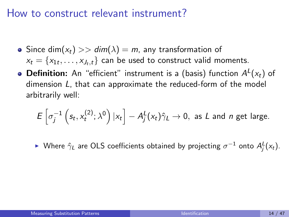#### How to construct relevant instrument?

- Since dim( $x_t$ ) >> dim( $\lambda$ ) = m, any transformation of  $x_t = \{x_{1t}, \ldots, x_{J_t,t}\}\;$  can be used to construct valid moments.
- **Definition:** An "efficient" instrument is a (basis) function  $A^L(x_t)$  of dimension L, that can approximate the reduced-form of the model arbitrarily well:

$$
E\left[\sigma_j^{-1}\left(s_t, x_t^{(2)}; \lambda^0\right) | x_t\right] - A_j^L(x_t)\hat{\gamma}_L \to 0, \text{ as } L \text{ and } n \text{ get large.}
$$

► Where  $\hat{\gamma}_L$  are OLS coefficients obtained by projecting  $\sigma^{-1}$  onto  $A_j^L(x_t)$ .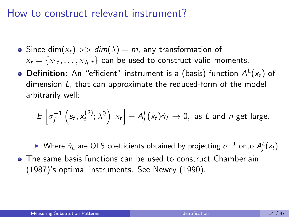#### How to construct relevant instrument?

- Since dim( $x_t$ ) >> dim( $\lambda$ ) = m, any transformation of  $x_t = \{x_{1t}, \ldots, x_{J_t,t}\}\;$  can be used to construct valid moments.
- **Definition:** An "efficient" instrument is a (basis) function  $A^L(x_t)$  of dimension L, that can approximate the reduced-form of the model arbitrarily well:

$$
E\left[\sigma_j^{-1}\left(s_t, x_t^{(2)}; \lambda^0\right)|x_t\right] - A_j^L(x_t)\hat{\gamma}_L \to 0, \text{ as } L \text{ and } n \text{ get large.}
$$

► Where  $\hat{\gamma}_L$  are OLS coefficients obtained by projecting  $\sigma^{-1}$  onto  $A_j^L(x_t)$ . The same basis functions can be used to construct [Chamberlain](#page-96-1)

[\(1987\)](#page-96-1)'s optimal instruments. See [Newey \(1990\)](#page-96-2).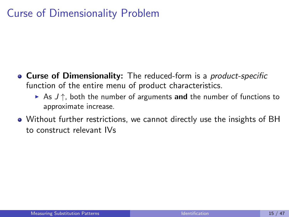## Curse of Dimensionality Problem

- Curse of Dimensionality: The reduced-form is a *product-specific* function of the entire menu of product characteristics.
	- As  $J \uparrow$ , both the number of arguments and the number of functions to approximate increase.
- Without further restrictions, we cannot directly use the insights of BH to construct relevant IVs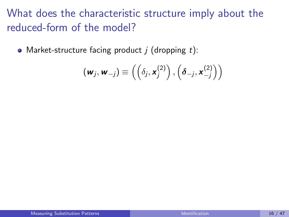• Market-structure facing product  $j$  (dropping  $t$ ):

$$
(\mathbf{w}_j, \mathbf{w}_{-j}) \equiv \left( \left( \delta_j, \mathbf{x}_j^{(2)} \right), \left( \delta_{-j}, \mathbf{x}_{-j}^{(2)} \right) \right)
$$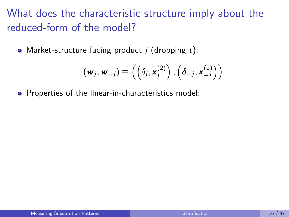• Market-structure facing product  $j$  (dropping  $t$ ):

$$
\left(\mathbf{w}_{j}, \mathbf{w}_{-j}\right) \equiv \left(\left(\delta_{j}, \mathbf{x}_{j}^{(2)}\right), \left(\boldsymbol{\delta}_{-j}, \mathbf{x}_{-j}^{(2)}\right)\right)
$$

**•** Properties of the linear-in-characteristics model: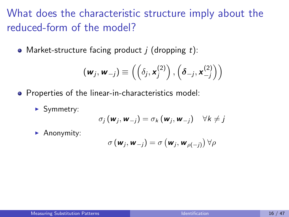• Market-structure facing product  $j$  (dropping  $t$ ):

$$
(\mathbf{w}_j, \mathbf{w}_{-j}) \equiv \left( \left( \delta_j, \mathbf{x}_j^{(2)} \right), \left( \delta_{-j}, \mathbf{x}_{-j}^{(2)} \right) \right)
$$

- **•** Properties of the linear-in-characteristics model:
	- $\blacktriangleright$  Symmetry:

$$
\sigma_j(\mathbf{w}_j, \mathbf{w}_{-j}) = \sigma_k(\mathbf{w}_j, \mathbf{w}_{-j}) \quad \forall k \neq j
$$

 $\blacktriangleright$  Anonymity:

$$
\sigma\left(\mathbf{w}_{j}, \mathbf{w}_{-j}\right) = \sigma\left(\mathbf{w}_{j}, \mathbf{w}_{\rho(-j)}\right) \forall \rho
$$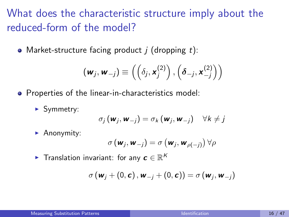• Market-structure facing product  $j$  (dropping  $t$ ):

$$
(\mathbf{w}_j, \mathbf{w}_{-j}) \equiv \left( \left( \delta_j, \mathbf{x}_j^{(2)} \right), \left( \delta_{-j}, \mathbf{x}_{-j}^{(2)} \right) \right)
$$

- **•** Properties of the linear-in-characteristics model:
	- $\blacktriangleright$  Symmetry:

$$
\sigma_j(\mathbf{w}_j, \mathbf{w}_{-j}) = \sigma_k(\mathbf{w}_j, \mathbf{w}_{-j}) \quad \forall k \neq j
$$

 $\blacktriangleright$  Anonymity:

$$
\sigma\left(\mathbf{w}_j, \mathbf{w}_{-j}\right) = \sigma\left(\mathbf{w}_j, \mathbf{w}_{\rho(-j)}\right) \forall \rho
$$

 $\blacktriangleright$  Translation invariant: for any  $\boldsymbol{c} \in \mathbb{R}^K$ 

$$
\sigma\left(\boldsymbol{w}_j+\left(0,\boldsymbol{c}\right),\boldsymbol{w}_{-j}+\left(0,\boldsymbol{c}\right)\right)=\sigma\left(\boldsymbol{w}_j,\boldsymbol{w}_{-j}\right)
$$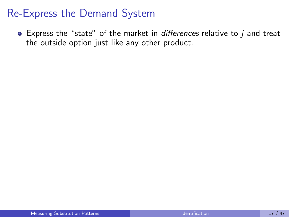#### Re-Express the Demand System

 $\bullet$  Express the "state" of the market in *differences* relative to  $j$  and treat the outside option just like any other product.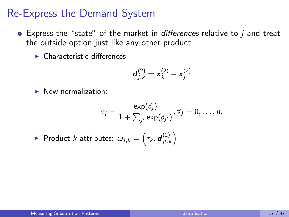#### Re-Express the Demand System

- $\bullet$  Express the "state" of the market in *differences* relative to  $\dot{i}$  and treat the outside option just like any other product.
	- $\blacktriangleright$  Characteristic differences:

$$
\bm{d}_{j,k}^{(2)} = \bm{x}_k^{(2)} - \bm{x}_j^{(2)}
$$

 $\blacktriangleright$  New normalization:

$$
\tau_j = \frac{\exp(\delta_j)}{1 + \sum_{j'} \exp(\delta_{j'})}, \forall j = 0, \ldots, n.
$$

 $\blacktriangleright$  Product  $k$  attributes:  $\omega_{j,k} = \left(\tau_k, \boldsymbol{d}_{jt,l}^{(2)}\right)$  $\binom{2}{jt,k}$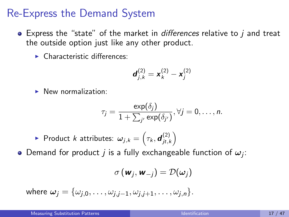#### Re-Express the Demand System

- $\bullet$  Express the "state" of the market in *differences* relative to  $\dot{i}$  and treat the outside option just like any other product.
	- $\blacktriangleright$  Characteristic differences:

$$
\bm{d}_{j,k}^{(2)} = \bm{x}_k^{(2)} - \bm{x}_j^{(2)}
$$

 $\blacktriangleright$  New normalization:

$$
\tau_j = \frac{\exp(\delta_j)}{1 + \sum_{j'} \exp(\delta_{j'})}, \forall j = 0, \ldots, n.
$$

 $\blacktriangleright$  Product  $k$  attributes:  $\omega_{j,k} = \left(\tau_k, \boldsymbol{d}_{jt,l}^{(2)}\right)$  $\binom{2}{jt,k}$ 

Demand for product  $j$  is a fully exchangeable function of  $\omega_j$ :

$$
\sigma\left(\textbf{w}_j, \textbf{w}_{-j}\right) = \mathcal{D}(\omega_j)
$$

where  $\omega_i = {\omega_{i,0}, \ldots, \omega_{i,i-1}, \omega_{i,i+1}, \ldots, \omega_{i,n}}$ .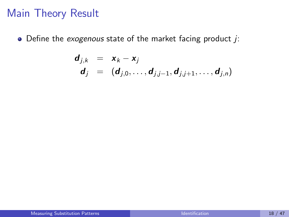#### Main Theory Result

 $\bullet$  Define the exogenous state of the market facing product j:

$$
\begin{array}{rcl}\n\mathbf{d}_{j,k} & = & \mathbf{x}_k - \mathbf{x}_j \\
\mathbf{d}_j & = & (\mathbf{d}_{j,0}, \ldots, \mathbf{d}_{j,j-1}, \mathbf{d}_{j,j+1}, \ldots, \mathbf{d}_{j,n})\n\end{array}
$$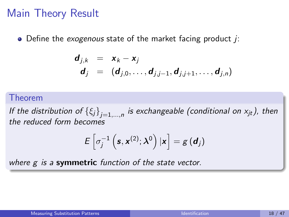#### Main Theory Result

 $\bullet$  Define the *exogenous* state of the market facing product *i*:

$$
\begin{array}{rcl}\n\mathbf{d}_{j,k} & = & \mathbf{x}_k - \mathbf{x}_j \\
\mathbf{d}_j & = & (\mathbf{d}_{j,0}, \ldots, \mathbf{d}_{j,j-1}, \mathbf{d}_{j,j+1}, \ldots, \mathbf{d}_{j,n})\n\end{array}
$$

#### Theorem

If the distribution of  $\left\{\xi_j\right\}_{j=1,...,n}$  is exchangeable (conditional on  $\mathsf{x}_{jt}$ ), then the reduced form becomes

$$
E\left[\sigma_j^{-1}\left(\boldsymbol{s},\boldsymbol{x}^{(2)};\boldsymbol{\lambda}^0\right)|\boldsymbol{x}\right]=g\left(\boldsymbol{d}_j\right)
$$

where  $g$  is a symmetric function of the state vector.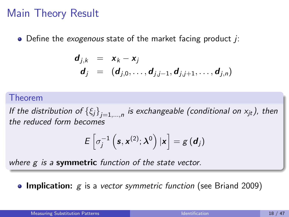#### Main Theory Result

 $\bullet$  Define the *exogenous* state of the market facing product *i*:

$$
\begin{array}{rcl}\n\mathbf{d}_{j,k} & = & \mathbf{x}_k - \mathbf{x}_j \\
\mathbf{d}_j & = & (\mathbf{d}_{j,0}, \ldots, \mathbf{d}_{j,j-1}, \mathbf{d}_{j,j+1}, \ldots, \mathbf{d}_{j,n})\n\end{array}
$$

#### Theorem

If the distribution of  $\left\{\xi_j\right\}_{j=1,...,n}$  is exchangeable (conditional on  $\mathsf{x}_{jt}$ ), then the reduced form becomes

$$
E\left[\sigma_j^{-1}\left(\boldsymbol{s},\boldsymbol{x}^{(2)};\boldsymbol{\lambda}^0\right)|\boldsymbol{x}\right]=g\left(\boldsymbol{d}_j\right)
$$

where  $g$  is a symmetric function of the state vector.

**• Implication:**  $g$  is a vector symmetric function (see Briand 2009)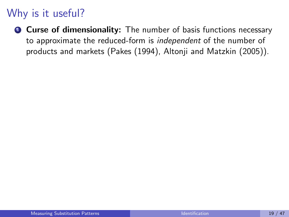# Why is it useful?

**Q** Curse of dimensionality: The number of basis functions necessary to approximate the reduced-form is independent of the number of products and markets (Pakes (1994), Altonji and Matzkin (2005)).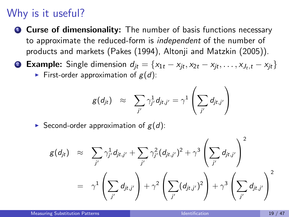## Why is it useful?

**Q** Curse of dimensionality: The number of basis functions necessary to approximate the reduced-form is independent of the number of products and markets (Pakes (1994), Altonji and Matzkin (2005)).

2 Example: Single dimension  $d_{it} = \{x_{1t} - x_{it}, x_{2t} - x_{it}, \dots, x_{J_t,t} - x_{it}\}$ 

First-order approximation of  $g(d)$ :

$$
g(d_{jt}) \approx \sum_{j'} \gamma_{j'}^1 d_{jt,j'} = \gamma^1 \left( \sum_{j'} d_{jt,j'} \right)
$$

Second-order approximation of  $g(d)$ :

$$
g(d_{jt}) \approx \sum_{j'} \gamma_{j'}^1 d_{jt,j'} + \sum_{j'} \gamma_{j'}^2 (d_{jt,j'})^2 + \gamma^3 \left( \sum_{j'} d_{jt,j'} \right)^2
$$
  
=  $\gamma^1 \left( \sum_{j'} d_{jt,j'} \right) + \gamma^2 \left( \sum_{j'} (d_{jt,j'})^2 \right) + \gamma^3 \left( \sum_{j'} d_{jt,j'} \right)^2$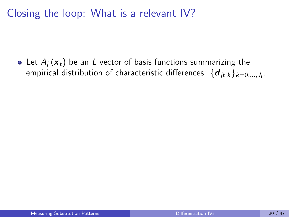<span id="page-50-0"></span>Closing the loop: What is a relevant IV?

• Let  $A_i$  ( $x_t$ ) be an L vector of basis functions summarizing the empirical distribution of characteristic differences:  $\{\boldsymbol{d}_{jt,k}\}_{k=0,...,J_t}.$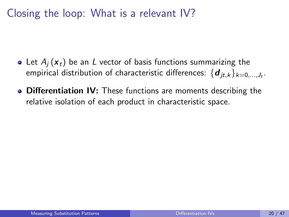Closing the loop: What is a relevant IV?

- Let  $A_i$  ( $x_t$ ) be an L vector of basis functions summarizing the empirical distribution of characteristic differences:  $\{\boldsymbol{d}_{jt,k}\}_{k=0,...,J_t}.$
- Differentiation IV: These functions are moments describing the relative isolation of each product in characteristic space.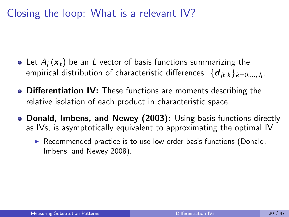Closing the loop: What is a relevant IV?

- Let  $A_i$  ( $x_t$ ) be an L vector of basis functions summarizing the empirical distribution of characteristic differences:  $\{\boldsymbol{d}_{jt,k}\}_{k=0,...,J_t}.$
- Differentiation IV: These functions are moments describing the relative isolation of each product in characteristic space.
- Donald, Imbens, and Newey (2003): Using basis functions directly as IVs, is asymptotically equivalent to approximating the optimal IV.
	- $\triangleright$  Recommended practice is to use low-order basis functions (Donald, Imbens, and Newey 2008).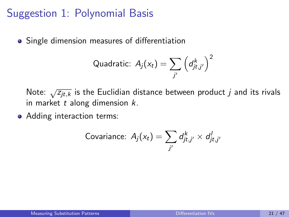### Suggestion 1: Polynomial Basis

Single dimension measures of differentiation

Quadratic: 
$$
A_j(x_t) = \sum_{j'} \left(d_{jt,j'}^k\right)^2
$$

Note:  $\sqrt{z_{it,k}}$  is the Euclidian distance between product j and its rivals in market  $t$  along dimension  $k$ .

• Adding interaction terms:

Covariance: 
$$
A_j(x_t) = \sum_{j'} d_{jt,j'}^k \times d_{jt,j'}^l
$$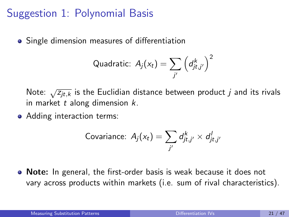## Suggestion 1: Polynomial Basis

**•** Single dimension measures of differentiation

Quadratic: 
$$
A_j(x_t) = \sum_{j'} \left(d_{jt,j'}^k\right)^2
$$

Note:  $\sqrt{z_{it,k}}$  is the Euclidian distance between product j and its rivals in market  $t$  along dimension  $k$ .

• Adding interaction terms:

Covariance: 
$$
A_j(x_t) = \sum_{j'} d_{jt,j'}^k \times d_{jt,j'}^l
$$

Note: In general, the first-order basis is weak because it does not vary across products within markets (i.e. sum of rival characteristics).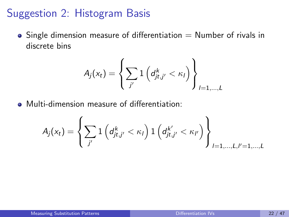#### Suggestion 2: Histogram Basis

 $\bullet$  Single dimension measure of differentiation  $=$  Number of rivals in discrete bins

$$
A_j(x_t) = \left\{ \sum_{j'} 1\left(d_{jt,j'}^k < \kappa_l\right) \right\}_{l=1,\ldots,L}
$$

Multi-dimension measure of differentiation:

$$
A_j(x_t) = \left\{ \sum_{j'} 1\left( d_{jt,j'}^k < \kappa_l \right) 1\left( d_{jt,j'}^{k'} < \kappa_{l'} \right) \right\}_{l=1,...,L,l'=1,...,L}
$$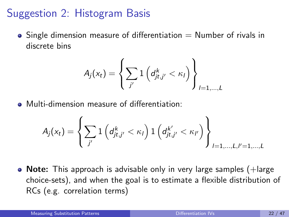### Suggestion 2: Histogram Basis

 $\bullet$  Single dimension measure of differentiation  $=$  Number of rivals in discrete bins

$$
A_j(x_t) = \left\{ \sum_{j'} 1\left(d_{jt,j'}^k < \kappa_l\right) \right\}_{l=1,\ldots,L}
$$

Multi-dimension measure of differentiation:

$$
A_j(x_t) = \left\{ \sum_{j'} 1\left( d_{jt,j'}^k < \kappa_l \right) 1\left( d_{jt,j'}^{k'} < \kappa_{l'} \right) \right\}_{l=1,...,L,l'=1,...,L}
$$

 $\bullet$  Note: This approach is advisable only in very large samples (+large choice-sets), and when the goal is to estimate a flexible distribution of RCs (e.g. correlation terms)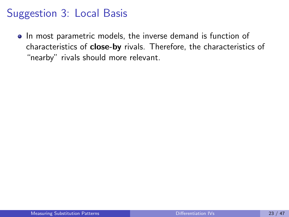## Suggestion 3: Local Basis

• In most parametric models, the inverse demand is function of characteristics of close-by rivals. Therefore, the characteristics of "nearby" rivals should more relevant.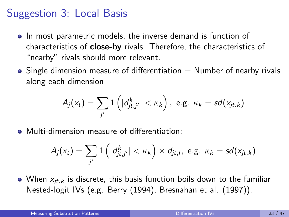## Suggestion 3: Local Basis

- In most parametric models, the inverse demand is function of characteristics of close-by rivals. Therefore, the characteristics of "nearby" rivals should more relevant.
- $\bullet$  Single dimension measure of differentiation  $=$  Number of nearby rivals along each dimension

$$
A_j(x_t) = \sum_{j'} 1\left(|d_{jt,j'}^k| < \kappa_k\right), \text{ e.g. } \kappa_k = sd(x_{jt,k})
$$

Multi-dimension measure of differentiation:

$$
A_j(x_t) = \sum_{j'} 1\left(|d_{jt,j'}^k| < \kappa_k\right) \times d_{jt,l}, \text{ e.g. } \kappa_k = sd(x_{jt,k})
$$

• When  $x_{it,k}$  is discrete, this basis function boils down to the familiar Nested-logit IVs (e.g. [Berry \(1994\)](#page-96-0), [Bresnahan et al. \(1997\)](#page-96-1)).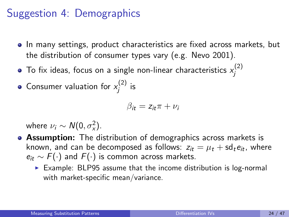## Suggestion 4: Demographics

- In many settings, product characteristics are fixed across markets, but the distribution of consumer types vary (e.g. Nevo 2001).
- To fix ideas, focus on a single non-linear characteristics  $x_i^{(2)}$ j
- Consumer valuation for  $x_i^{(2)}$  $j^{(2)}$  is

$$
\beta_{it} = z_{it}\pi + \nu_i
$$

where  $\nu_i \sim N(0, \sigma_x^2)$ .

- **Assumption:** The distribution of demographics across markets is known, and can be decomposed as follows:  $z_{it} = \mu_t + \text{sd}_t e_{it}$ , where  $e_{it} \sim F(\cdot)$  and  $F(\cdot)$  is common across markets.
	- $\triangleright$  Example: BLP95 assume that the income distribution is log-normal with market-specific mean/variance.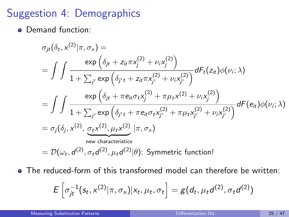## Suggestion 4: Demographics

**• Demand function:** 

$$
\sigma_{jt}(\delta_t, x^{(2)} | \pi, \sigma_x) =
$$
\n
$$
= \int \int \frac{\exp\left(\delta_{jt} + z_{it}\pi x_j^{(2)} + \nu_i x_j^{(2)}\right)}{1 + \sum_{j'} \exp\left(\delta_{j't} + z_{it}\pi x_{j'}^{(2)} + \nu_i x_{j'}^{(2)}\right)} dF_t(z_{it})\phi(\nu_i; \lambda)
$$
\n
$$
= \int \int \frac{\exp\left(\delta_{jt} + \pi e_{it}\sigma_t x_j^{(2)} + \pi \mu_t x^{(2)} + \nu_i x_j^{(2)}\right)}{1 + \sum_{j'} \exp\left(\delta_{j't} + \pi e_{it}\sigma_t x_{j'}^{(2)} + \pi \mu_t x_{j'}^{(2)} + \nu_i x_{j'}^{(2)}\right)} dF(e_{it})\phi(\nu_i; \lambda)
$$
\n
$$
= \sigma_j(\delta_j, x^{(2)}, \underbrace{\sigma_t x^{(2)}, \mu_t x^{(2)}}_{\text{new characteristics}} | \pi, \sigma_x)
$$
\n
$$
= \mathcal{D}(\omega_t, d^{(2)}, \sigma_t d^{(2)}, \mu_t d^{(2)} | \theta) \text{: Symmetric function!}
$$

The reduced-form of this transformed model can therefore be written:

$$
E\left[\sigma_{jt}^{-1}(s_t, x^{(2)} | \pi, \sigma_x)| x_t, \mu_t, \sigma_t\right] = g(d_t, \mu_t d^{(2)}, \sigma_t d^{(2)})
$$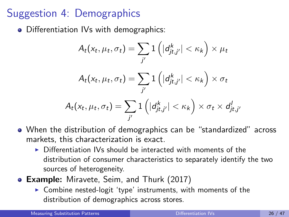# Suggestion 4: Demographics

• Differentiation IVs with demographics:

$$
A_t(x_t, \mu_t, \sigma_t) = \sum_{j'} 1\left(|d_{jt,j'}^k| < \kappa_k\right) \times \mu_t
$$
\n
$$
A_t(x_t, \mu_t, \sigma_t) = \sum_{j'} 1\left(|d_{jt,j'}^k| < \kappa_k\right) \times \sigma_t
$$
\n
$$
A_t(x_t, \mu_t, \sigma_t) = \sum_{j'} 1\left(|d_{jt,j'}^k| < \kappa_k\right) \times \sigma_t \times d_{jt,j'}^l
$$

- When the distribution of demographics can be "standardized" across markets, this characterization is exact.
	- $\triangleright$  Differentiation IVs should be interacted with moments of the distribution of consumer characteristics to separately identify the two sources of heterogeneity.
- **Example:** [Miravete, Seim, and Thurk \(2017\)](#page-96-2)
	- $\triangleright$  Combine nested-logit 'type' instruments, with moments of the distribution of demographics across stores.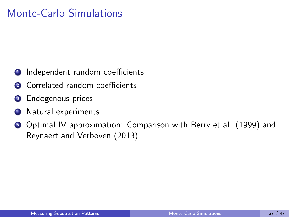## <span id="page-62-0"></span>Monte-Carlo Simulations

- **1** Independent random coefficients
- **2** Correlated random coefficients
- **3** Endogenous prices
- **4** Natural experiments
- **•** Optimal IV approximation: Comparison with Berry et al. (1999) and Reynaert and Verboven (2013).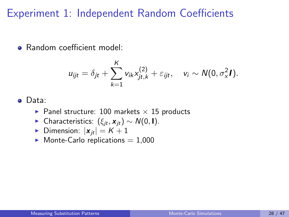#### Experiment 1: Independent Random Coefficients

**• Random coefficient model:** 

$$
u_{ijt} = \delta_{jt} + \sum_{k=1}^K v_{ik}x_{jt,k}^{(2)} + \varepsilon_{ijt}, \quad v_i \sim N(0, \sigma_x^2 I).
$$

#### Data:

- Panel structure: 100 markets  $\times$  15 products
- ► Characteristics:  $(\xi_{it}, x_{it}) \sim N(0, I)$ .
- Dimension:  $|\mathbf{x}_{it}| = K + 1$
- $\blacktriangleright$  Monte-Carlo replications = 1,000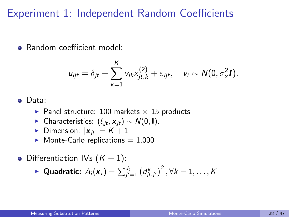#### Experiment 1: Independent Random Coefficients

**• Random coefficient model:** 

$$
u_{ijt} = \delta_{jt} + \sum_{k=1}^K v_{ik}x_{jt,k}^{(2)} + \varepsilon_{ijt}, \quad v_i \sim N(0, \sigma_x^2 I).
$$

#### Data:

- Panel structure: 100 markets  $\times$  15 products
- ► Characteristics:  $(\xi_{it}, x_{it}) \sim N(0, I)$ .
- Dimension:  $|\mathbf{x}_{it}| = K + 1$
- $\blacktriangleright$  Monte-Carlo replications = 1,000
- Differentiation IVs  $(K + 1)$ :

$$
\blacktriangleright \text{ Quadratic: } A_j(\boldsymbol{x}_t) = \sum_{j'=1}^{J_t} \left( d_{jt,j'}^k \right)^2, \forall k = 1,\ldots,K
$$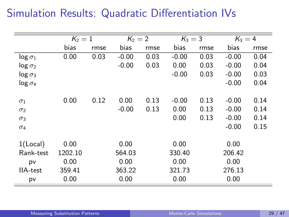## Simulation Results: Quadratic Differentiation IVs

|                 | $K_2=1$ |      | $K_2 = 2$ |      | $K_3 = 3$ |      | $K_3=4$ |      |  |
|-----------------|---------|------|-----------|------|-----------|------|---------|------|--|
|                 | bias    | rmse | bias      | rmse | bias      | rmse | bias    | rmse |  |
| $log \sigma_1$  | 0.00    | 0.03 | $-0.00$   | 0.03 | $-0.00$   | 0.03 | $-0.00$ | 0.04 |  |
| $log \sigma_2$  |         |      | $-0.00$   | 0.03 | 0.00      | 0.03 | $-0.00$ | 0.04 |  |
| $log \sigma_3$  |         |      |           |      | $-0.00$   | 0.03 | $-0.00$ | 0.03 |  |
| $log \sigma_4$  |         |      |           |      |           |      | $-0.00$ | 0.04 |  |
|                 |         |      |           |      |           |      |         |      |  |
| $\sigma_1$      | 0.00    | 0.12 | 0.00      | 0.13 | $-0.00$   | 0.13 | $-0.00$ | 0.14 |  |
| $\sigma_2$      |         |      | $-0.00$   | 0.13 | 0.00      | 0.13 | $-0.00$ | 0.14 |  |
| $\sigma_3$      |         |      |           |      | 0.00      | 0.13 | $-0.00$ | 0.14 |  |
| $\sigma_4$      |         |      |           |      |           |      | $-0.00$ | 0.15 |  |
|                 |         |      |           |      |           |      |         |      |  |
| $1$ (Local)     | 0.00    |      | 0.00      |      | 0.00      |      | 0.00    |      |  |
| Rank-test       | 1202.10 |      | 564.03    |      | 330.40    |      | 206.42  |      |  |
| pv              | 0.00    |      | 0.00      |      | 0.00      |      | 0.00    |      |  |
| <b>IIA-test</b> | 359.41  |      | 363.22    |      | 321.73    |      | 276.13  |      |  |
| pv              | 0.00    |      | 0.00      |      | 0.00      |      | 0.00    |      |  |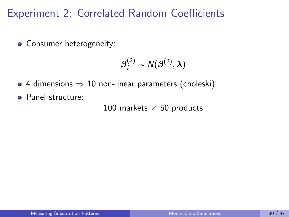### Experiment 2: Correlated Random Coefficients

• Consumer heterogeneity:

$$
\boldsymbol{\beta}_i^{(2)} \sim \mathcal{N}(\boldsymbol{\beta}^{(2)},\boldsymbol{\lambda})
$$

- $\bullet$  4 dimensions  $\Rightarrow$  10 non-linear parameters (choleski)
- **•** Panel structure:

100 markets  $\times$  50 products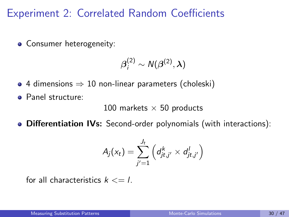### Experiment 2: Correlated Random Coefficients

• Consumer heterogeneity:

$$
\boldsymbol{\beta}_i^{(2)} \sim \mathcal{N}(\boldsymbol{\beta}^{(2)},\boldsymbol{\lambda})
$$

- 4 dimensions  $\Rightarrow$  10 non-linear parameters (choleski)
- **•** Panel structure:

100 markets  $\times$  50 products

Differentiation IVs: Second-order polynomials (with interactions):

$$
A_j(x_t) = \sum_{j'=1}^{J_t} \left( d_{jt,j'}^k \times d_{jt,j'}^l \right)
$$

for all characteristics  $k \leq L$ .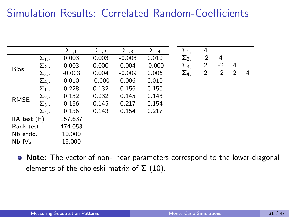## Simulation Results: Correlated Random-Coefficients

|                  |                    | $\Sigma_{\cdot,1}$ | Σ.,2     | $\Sigma_{\cdot,3}$ | $\Sigma_{\cdot,4}$ | $\Sigma_{1,}.$ | 4              |      |   |   |
|------------------|--------------------|--------------------|----------|--------------------|--------------------|----------------|----------------|------|---|---|
| <b>Bias</b>      | $\Sigma_{1,+}$     | 0.003              | 0.003    | $-0.003$           | 0.010              | $\Sigma_{2}$ . | $-2$           | 4    |   |   |
|                  | $\Sigma_{2,}$      | 0.003              | 0.000    | 0.004              | $-0.000$           | $\Sigma_{3,.}$ | 2              | $-2$ | 4 |   |
|                  | $\Sigma_{3,}.$     | $-0.003$           | 0.004    | $-0.009$           | 0.006              | $\Sigma_4$ .   | $\overline{2}$ | $-2$ | 2 | 4 |
|                  | $\Sigma_4$ .       | 0.010              | $-0.000$ | 0.006              | 0.010              |                |                |      |   |   |
| <b>RMSE</b>      | $\Sigma_{1,\cdot}$ | 0.228              | 0.132    | 0.156              | 0.156              |                |                |      |   |   |
|                  | $\Sigma_{2}$ .     | 0.132              | 0.232    | 0.145              | 0.143              |                |                |      |   |   |
|                  | $\Sigma_{3,}.$     | 0.156              | 0.145    | 0.217              | 0.154              |                |                |      |   |   |
|                  | $\Sigma_4$ .       | 0.156              | 0.143    | 0.154              | 0.217              |                |                |      |   |   |
| $IIA$ test $(F)$ |                    | 157.637            |          |                    |                    |                |                |      |   |   |
| Rank test        |                    | 474.053            |          |                    |                    |                |                |      |   |   |
| Nb endo.         |                    | 10.000             |          |                    |                    |                |                |      |   |   |
| Nb IVs           |                    | 15.000             |          |                    |                    |                |                |      |   |   |

• Note: The vector of non-linear parameters correspond to the lower-diagonal elements of the choleski matrix of  $\Sigma$  (10).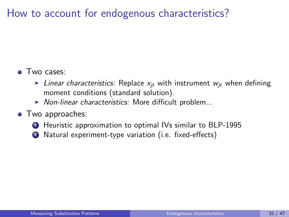## <span id="page-69-0"></span>How to account for endogenous characteristics?

#### • Two cases:

- I Linear characteristics: Replace  $x_{it}$  with instrument  $w_{it}$  when defining moment conditions (standard solution).
- $\triangleright$  Non-linear characteristics: More difficult problem...

#### • Two approaches:

- **1** Heuristic approximation to optimal IVs similar to BLP-1995
- <sup>2</sup> Natural experiment-type variation (i.e. fixed-effects)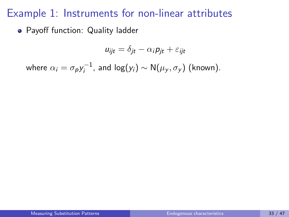#### Example 1: Instruments for non-linear attributes

Payoff function: Quality ladder

$$
u_{ijt} = \delta_{jt} - \alpha_i p_{jt} + \varepsilon_{ijt}
$$

where  $\alpha_i = \sigma_{\bm p} y_i^{-1}$  $i_j^{-1}$ , and log $(y_i)$  ∼ N $(\mu_y, \sigma_y)$  (known).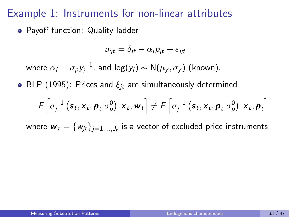#### Example 1: Instruments for non-linear attributes

Payoff function: Quality ladder

$$
u_{ijt} = \delta_{jt} - \alpha_i p_{jt} + \varepsilon_{ijt}
$$

where  $\alpha_i = \sigma_{\bm p} y_i^{-1}$  $i_j^{-1}$ , and log $(y_i)$  ∼ N $(\mu_y, \sigma_y)$  (known).

• BLP (1995): Prices and  $\xi_{it}$  are simultaneously determined

$$
E\left[\sigma_j^{-1}\left(\boldsymbol{s}_t,\boldsymbol{x}_t,\boldsymbol{p}_t|\sigma_p^0\right)|\boldsymbol{x}_t,\boldsymbol{w}_t\right] \neq E\left[\sigma_j^{-1}\left(\boldsymbol{s}_t,\boldsymbol{x}_t,\boldsymbol{p}_t|\sigma_p^0\right)|\boldsymbol{x}_t,\boldsymbol{p}_t\right]
$$

where  $\bm{w}_t = \{w_{jt}\}_{j=1,...,J_t}$  is a vector of excluded price instruments.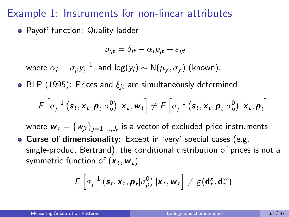### Example 1: Instruments for non-linear attributes

Payoff function: Quality ladder

$$
u_{ijt} = \delta_{jt} - \alpha_i p_{jt} + \varepsilon_{ijt}
$$

where  $\alpha_i = \sigma_{\bm p} y_i^{-1}$  $i_j^{-1}$ , and log $(y_i)$  ∼ N $(\mu_y, \sigma_y)$  (known).

• BLP (1995): Prices and  $\xi_{it}$  are simultaneously determined

$$
E\left[\sigma_j^{-1}\left(\boldsymbol{s}_t,\boldsymbol{x}_t,\boldsymbol{p}_t|\sigma_p^0\right)|\boldsymbol{x}_t,\boldsymbol{w}_t\right] \neq E\left[\sigma_j^{-1}\left(\boldsymbol{s}_t,\boldsymbol{x}_t,\boldsymbol{p}_t|\sigma_p^0\right)|\boldsymbol{x}_t,\boldsymbol{p}_t\right]
$$

where  $\bm{w}_t = \{w_{jt}\}_{j=1,...,J_t}$  is a vector of excluded price instruments.

**• Curse of dimensionality:** Except in 'very' special cases (e.g. single-product Bertrand), the conditional distribution of prices is not a symmetric function of  $(\boldsymbol{ x}_t, \boldsymbol{ w}_t).$ 

$$
E\left[\sigma_j^{-1}\left(\boldsymbol{s}_t,\boldsymbol{x}_t,\boldsymbol{p}_t|\sigma_p^0\right)|\boldsymbol{x}_t,\boldsymbol{w}_t\right] \neq g(\mathbf{d}_t^{\chi},\mathbf{d}_t^{\chi})
$$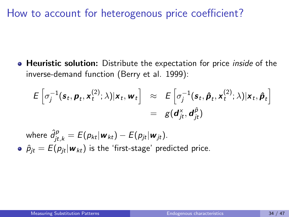### How to account for heterogenous price coefficient?

**• Heuristic solution:** Distribute the expectation for price *inside* of the inverse-demand function [\(Berry et al. 1999\)](#page-96-0):

$$
E\left[\sigma_j^{-1}(\boldsymbol{s}_t,\boldsymbol{p}_t,\mathbf{x}_t^{(2)};\lambda)|\mathbf{x}_t,\mathbf{w}_t\right] \approx E\left[\sigma_j^{-1}(\boldsymbol{s}_t,\boldsymbol{\hat{p}}_t,\mathbf{x}_t^{(2)};\lambda)|\mathbf{x}_t,\boldsymbol{\hat{p}}_t\right]
$$

$$
= g(\boldsymbol{d}_{jt}^{\times},\boldsymbol{d}_{jt}^{\hat{\rho}})
$$

where 
$$
\hat{d}_{jt,k}^p = E(p_{kt}|\mathbf{w}_{kt}) - E(p_{jt}|\mathbf{w}_{jt})
$$
.  
\n•  $\hat{p}_{jt} = E(p_{jt}|\mathbf{w}_{kt})$  is the 'first-stage' predicted price.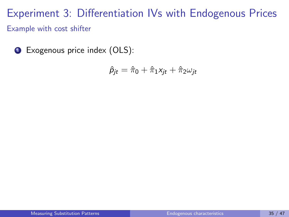## Experiment 3: Differentiation IVs with Endogenous Prices Example with cost shifter

**1** Exogenous price index (OLS):

$$
\hat{p}_{jt} = \hat{\pi}_0 + \hat{\pi}_1 x_{jt} + \hat{\pi}_2 \omega_{jt}
$$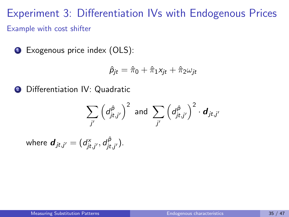Experiment 3: Differentiation IVs with Endogenous Prices Example with cost shifter

<sup>1</sup> Exogenous price index (OLS):

$$
\hat{p}_{jt} = \hat{\pi}_0 + \hat{\pi}_1 x_{jt} + \hat{\pi}_2 \omega_{jt}
$$

**2** Differentiation IV: Quadratic

$$
\sum_{j'} \left( d_{jt,j'}^{\hat{p}} \right)^2 \text{ and } \sum_{j'} \left( d_{jt,j'}^{\hat{p}} \right)^2 \cdot \boldsymbol{d}_{jt,j'}
$$

where  $\boldsymbol{d}_{jt,j'}=(d_{jt,j'}^{\times},d_{jt}^{\hat{\rho}})$ 'P<br>jt.j' ).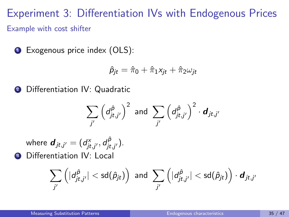Experiment 3: Differentiation IVs with Endogenous Prices Example with cost shifter

<sup>1</sup> Exogenous price index (OLS):

$$
\hat{p}_{jt} = \hat{\pi}_0 + \hat{\pi}_1 x_{jt} + \hat{\pi}_2 \omega_{jt}
$$

**2** Differentiation IV: Quadratic

$$
\sum_{j'} \left( d_{jt,j'}^{\hat{\rho}} \right)^2 \text{ and } \sum_{j'} \left( d_{jt,j'}^{\hat{\rho}} \right)^2 \cdot \boldsymbol{d}_{jt,j'}
$$

where  $\boldsymbol{d}_{jt,j'}=(d_{jt,j'}^{\times},d_{jt}^{\hat{\rho}})$ 'P<br>jt.j' ). **3** Differentiation IV: Local

$$
\sum_{j'} \left( |d_{jt,j'}^{\hat{\rho}}| < \mathsf{sd}(\hat{\rho}_{jt}) \right) \text{ and } \sum_{j'} \left( |d_{jt,j'}^{\hat{\rho}}| < \mathsf{sd}(\hat{\rho}_{jt}) \right) \cdot \mathbf{d}_{jt,j'}
$$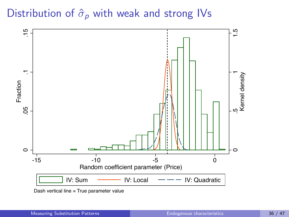### Distribution of  $\hat{\sigma}_p$  with weak and strong IVs

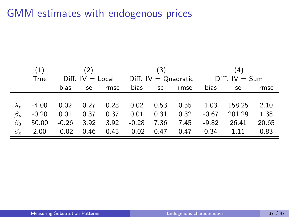## GMM estimates with endogenous prices

|                              | (1)     |                    | (2)  |      |         | (3)  |                        | (4)              |        |       |  |
|------------------------------|---------|--------------------|------|------|---------|------|------------------------|------------------|--------|-------|--|
|                              | True    | $Diff. IV = Local$ |      |      |         |      | Diff. $IV = Quadratic$ | $Diff. IV = Sum$ |        |       |  |
|                              |         | bias               | se   | rmse | bias    | se   | rmse                   | <b>bias</b>      | se     | rmse  |  |
|                              |         |                    |      |      |         |      |                        |                  |        |       |  |
| $\lambda_{\texttt{\tiny D}}$ | $-4.00$ | 0.02               | 0.27 | 0.28 | 0.02    | 0.53 | 0.55                   | 1.03             | 158.25 | 2.10  |  |
| $\beta_{p}$                  | $-0.20$ | 0.01               | 0.37 | 0.37 | 0.01    | 0.31 | 0.32                   | $-0.67$          | 201.29 | 1.38  |  |
| $\beta_0$                    | 50.00   | $-0.26$            | 3.92 | 3.92 | $-0.28$ | 7.36 | 7.45                   | $-9.82$          | 26.41  | 20.65 |  |
| $\beta_{x}$                  | 2.00    | $-0.02$            | 0.46 | 0.45 | $-0.02$ | 0.47 | 0.47                   | 0.34             | 1.11   | 0.83  |  |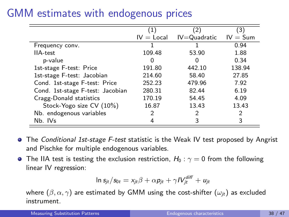### GMM estimates with endogenous prices

|                                  |              | $^{\prime}2^{\prime}$       | 3)     |
|----------------------------------|--------------|-----------------------------|--------|
|                                  | $IV = Local$ | $IV = Quadratic$ $IV = Sum$ |        |
| Frequency conv.                  |              |                             | 0.94   |
| <b>IIA-test</b>                  | 109.48       | 53.90                       | 1.88   |
| p-value                          | 0            | 0                           | 0.34   |
| 1st-stage F-test: Price          | 191.80       | 442.10                      | 138.94 |
| 1st-stage F-test: Jacobian       | 214.60       | 58.40                       | 27.85  |
| Cond. 1st-stage F-test: Price    | 252.23       | 479.96                      | 7.92   |
| Cond. 1st-stage F-test: Jacobian | 280.31       | 82.44                       | 6.19   |
| Cragg-Donald statistics          | 170.19       | 54.45                       | 4.09   |
| Stock-Yogo size CV (10%)         | 16.87        | 13.43                       | 13.43  |
| Nb. endogenous variables         |              | 2                           | 2      |
| Nb. IVs                          |              |                             | 3      |

- **The Conditional 1st-stage F-test statistic is the Weak IV test proposed by Angrist** and Pischke for multiple endogenous variables.
- **The IIA test is testing the exclusion restriction,**  $H_0$ **:**  $\gamma = 0$  from the following linear IV regression:

$$
\ln s_{jt}/s_{0t} = x_{jt}\beta + \alpha p_{jt} + \gamma IV_{jt}^{diff} + u_{jt}
$$

where  $(\beta, \alpha, \gamma)$  are estimated by GMM using the cost-shifter  $(\omega_{it})$  as excluded instrument.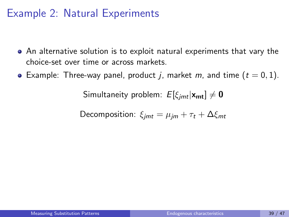### Example 2: Natural Experiments

- An alternative solution is to exploit natural experiments that vary the choice-set over time or across markets.
- Example: Three-way panel, product j, market m, and time  $(t = 0, 1)$ .

Simultaneity problem:  $E[\xi_{imt}|\mathbf{x}_{mt}] \neq \mathbf{0}$ 

Decomposition:  $\xi_{imt} = \mu_{im} + \tau_t + \Delta \xi_{mt}$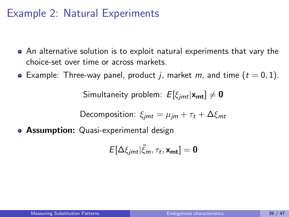### Example 2: Natural Experiments

- An alternative solution is to exploit natural experiments that vary the choice-set over time or across markets.
- Example: Three-way panel, product j, market m, and time  $(t = 0, 1)$ .

Simultaneity problem:  $E[\xi_{imt}|\mathbf{x}_{mt}] \neq \mathbf{0}$ 

Decomposition:  $\xi_{imt} = \mu_{im} + \tau_t + \Delta \xi_{mt}$ 

**• Assumption:** Quasi-experimental design

$$
E[\Delta \xi_{jmt}|\bar{\xi}_m,\tau_t,\mathbf{x}_{mt}]=\mathbf{0}
$$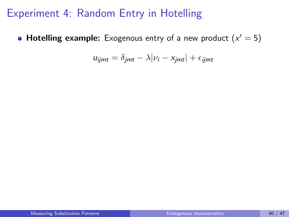**Hotelling example:** Exogenous entry of a new product  $(x' = 5)$ 

$$
u_{ijmt} = \delta_{jmt} - \lambda |\nu_i - x_{jmt}| + \epsilon_{ijmt}
$$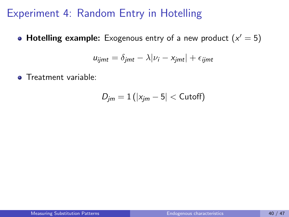**Hotelling example:** Exogenous entry of a new product  $(x' = 5)$ 

$$
u_{ijmt} = \delta_{jmt} - \lambda |\nu_i - x_{jmt}| + \epsilon_{ijmt}
$$

**•** Treatment variable:

$$
D_{jm}=1\left(|x_{jm}-5|<\text{Cutoff}\right)
$$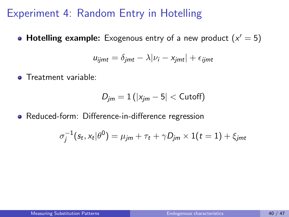**Hotelling example:** Exogenous entry of a new product  $(x' = 5)$ 

$$
u_{ijmt} = \delta_{jmt} - \lambda |\nu_i - x_{jmt}| + \epsilon_{ijmt}
$$

**•** Treatment variable:

$$
D_{jm}=1(|x_{jm}-5|<\mathsf{Cutoff})
$$

Reduced-form: Difference-in-difference regression

$$
\sigma_j^{-1}(s_t, x_t | \theta^0) = \mu_{jm} + \tau_t + \gamma D_{jm} \times 1(t = 1) + \xi_{jmt}
$$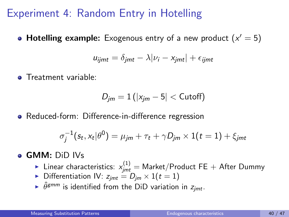**Hotelling example:** Exogenous entry of a new product  $(x' = 5)$ 

$$
u_{ijmt} = \delta_{jmt} - \lambda |\nu_i - x_{jmt}| + \epsilon_{ijmt}
$$

**•** Treatment variable:

$$
D_{jm}=1(|x_{jm}-5|<\text{Cutoff})
$$

• Reduced-form: Difference-in-difference regression

$$
\sigma_j^{-1}(s_t, x_t | \theta^0) = \mu_{jm} + \tau_t + \gamma D_{jm} \times 1(t = 1) + \xi_{jmt}
$$

#### **GMM:** DiD IVs

- $\blacktriangleright$  Linear characteristics:  $x_{jmt}^{(1)} =$  Market/Product FE  $+$  After Dummy
- Differentiation IV:  $z_{imt} = D_{im} \times 1(t = 1)$
- $\blacktriangleright$   $\hat{\theta}$  *gmm* is identified from the DiD variation in  $z_{jmt}$ .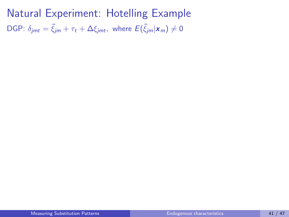Natural Experiment: Hotelling Example DGP:  $\delta_{jmt} = \bar{\xi}_{jm} + \tau_t + \Delta \xi_{jmt}$ , where  $E(\bar{\xi}_{jm}|\mathbf{x}_m) \neq 0$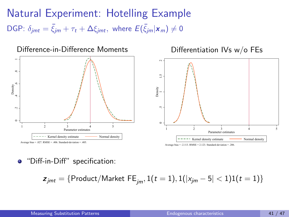Natural Experiment: Hotelling Example DGP:  $\delta_{jmt} = \bar{\xi}_{jm} + \tau_t + \Delta \xi_{jmt}$ , where  $E(\bar{\xi}_{jm}|\mathbf{x}_m) \neq 0$ 



"Diff-in-Diff" specification:

 $z_{jmt} = {Product/Market FE_{im}, 1(t = 1), 1(|x_{im} - 5| < 1)1(t = 1)}$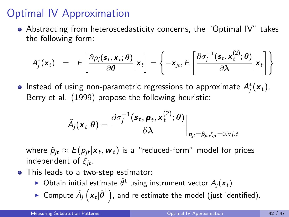## <span id="page-88-0"></span>Optimal IV Approximation

Abstracting from heteroscedasticity concerns, the "Optimal IV" takes the following form:

$$
A_j^*(\mathbf{x}_t) = E\left[\frac{\partial \rho_j(\mathbf{s}_t, \mathbf{x}_t; \boldsymbol{\theta})}{\partial \boldsymbol{\theta}} \bigg| \mathbf{x}_t\right] = \left\{-\mathbf{x}_{jt}, E\left[\frac{\partial \sigma_j^{-1}(\mathbf{s}_t, \mathbf{x}_t^{(2)}; \boldsymbol{\theta})}{\partial \boldsymbol{\lambda}} \bigg| \mathbf{x}_t\right]\right\}
$$

Instead of using non-parametric regressions to approximate  $A^*_j({\bm{x}}_t)$ , [Berry et al. \(1999\)](#page-96-0) propose the following heuristic:

$$
\tilde{A}_j(\boldsymbol{x}_t|\boldsymbol{\theta}) = \frac{\partial \sigma_j^{-1}(\boldsymbol{s}_t, \boldsymbol{p}_t, \boldsymbol{x}_t^{(2)}; \boldsymbol{\theta})}{\partial \boldsymbol{\lambda}} \bigg|_{\boldsymbol{p}_{jt} = \hat{\boldsymbol{p}}_{jt}, \xi_{jt} = 0, \forall j, t}
$$

where  $\hat\rho_{jt} \approx E(\rho_{jt}|\pmb{x}_t,\pmb{w}_t)$  is a "reduced-form" model for prices independent of  $\xi_{it}$ .

- This leads to a two-step estimator:
	- $\blacktriangleright$  Obtain initial estimate  $\hat{\theta}^1$  using instrument vector  $A_j(\pmb{x}_t)$
	- $\blacktriangleright$  Compute  $\tilde{A}_j\left(\boldsymbol{x}_t\vert \hat{\boldsymbol{\theta}}^1\right)$ , and re-estimate the model (just-identified).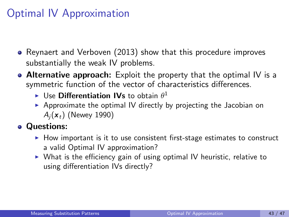## Optimal IV Approximation

- [Reynaert and Verboven \(2013\)](#page-96-1) show that this procedure improves substantially the weak IV problems.
- **Alternative approach:** Exploit the property that the optimal IV is a symmetric function of the vector of characteristics differences.
	- $\blacktriangleright$  Use Differentiation IVs to obtain  $\theta^1$
	- $\triangleright$  Approximate the optimal IV directly by projecting the Jacobian on  $A_i(\mathbf{x}_t)$  [\(Newey 1990\)](#page-96-2)

### **o** Questions:

- $\blacktriangleright$  How important is it to use consistent first-stage estimates to construct a valid Optimal IV approximation?
- $\triangleright$  What is the efficiency gain of using optimal IV heuristic, relative to using differentiation IVs directly?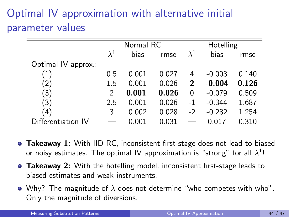# Optimal IV approximation with alternative initial parameter values

|                     |             | Normal RC |       |             | Hotelling |       |  |  |
|---------------------|-------------|-----------|-------|-------------|-----------|-------|--|--|
|                     | $\lambda^1$ | bias      | rmse  | $\lambda^1$ | bias      | rmse  |  |  |
| Optimal IV approx.: |             |           |       |             |           |       |  |  |
| $\left( 1\right)$   | 0.5         | 0.001     | 0.027 | 4           | $-0.003$  | 0.140 |  |  |
| (2)                 | $1.5\,$     | 0.001     | 0.026 | 2           | $-0.004$  | 0.126 |  |  |
| (3)                 | 2           | 0.001     | 0.026 | 0           | $-0.079$  | 0.509 |  |  |
| (3)                 | 2.5         | 0.001     | 0.026 | $^{-1}$     | $-0.344$  | 1.687 |  |  |
| 4)                  | 3           | 0.002     | 0.028 | $-2$        | $-0.282$  | 1.254 |  |  |
| Differentiation IV  |             | 0.001     | 0.031 |             | 0.017     | 0.310 |  |  |

- **Takeaway 1:** With IID RC, inconsistent first-stage does not lead to biased or noisy estimates. The optimal IV approximation is "strong" for all  $\lambda^1!$
- **Takeaway 2:** With the hotelling model, inconsistent first-stage leads to biased estimates and weak instruments.
- Why? The magnitude of  $\lambda$  does not determine "who competes with who". Only the magnitude of diversions.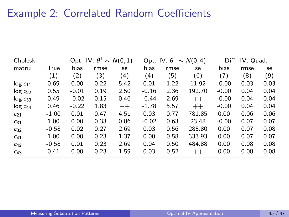# Example 2: Correlated Random Coefficients

| Choleski      | Opt. IV: $\theta^1 \sim N(0, 1)$ |         |      |      |         | Opt. IV: $\theta^1 \sim N(0, 4)$ | Diff. IV: Quad. |         |      |      |
|---------------|----------------------------------|---------|------|------|---------|----------------------------------|-----------------|---------|------|------|
| matrix        | True                             | bias    | rmse | se   | bias    | rmse                             | se              | bias    | rmse | se   |
|               | (1)                              | (2)     | (3)  | (4)  | (4)     | (5)                              | (6)             | (7)     | (8)  | (9)  |
| $log c_{11}$  | 0.69                             | 0.00    | 0.22 | 5.42 | 0.01    | 1.22                             | 11.92           | $-0.00$ | 0.03 | 0.03 |
| $log c_{22}$  | 0.55                             | $-0.01$ | 0.19 | 2.50 | $-0.16$ | 2.36                             | 192.70          | $-0.00$ | 0.04 | 0.04 |
| $log c_{33}$  | 0.49                             | $-0.02$ | 0.15 | 0.46 | $-0.44$ | 2.69                             | $++$            | $-0.00$ | 0.04 | 0.04 |
| $log\ c_{44}$ | 0.46                             | $-0.22$ | 1.83 | $++$ | $-1.78$ | 5.57                             | $++$            | $-0.00$ | 0.04 | 0.04 |
| $C_{21}$      | $-1.00$                          | 0.01    | 0.47 | 4.51 | 0.03    | 0.77                             | 781.85          | 0.00    | 0.06 | 0.06 |
| $c_{31}$      | 1.00                             | 0.00    | 0.33 | 0.86 | $-0.02$ | 0.63                             | 23.48           | $-0.00$ | 0.07 | 0.07 |
| $C_{32}$      | $-0.58$                          | 0.02    | 0.27 | 2.69 | 0.03    | 0.56                             | 285.80          | 0.00    | 0.07 | 0.08 |
| $C_{41}$      | 1.00                             | 0.00    | 0.23 | 1.37 | 0.00    | 0.58                             | 333.93          | 0.00    | 0.07 | 0.07 |
| $C_{42}$      | $-0.58$                          | 0.01    | 0.23 | 2.69 | 0.04    | 0.50                             | 484.88          | 0.00    | 0.08 | 0.08 |
| $c_{43}$      | 0.41                             | 0.00    | 0.23 | 1.59 | 0.03    | 0.52                             | $++$            | 0.00    | 0.08 | 0.08 |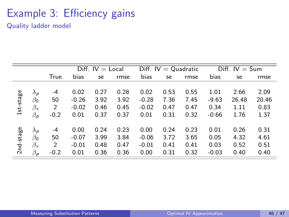## Example 3: Efficiency gains

Quality ladder model

|           |                               |        | Diff. $IV = Local$ |      |      | Diff. $IV = Quadratic$ |      |      | Diff. $IV = Sum$ |       |       |
|-----------|-------------------------------|--------|--------------------|------|------|------------------------|------|------|------------------|-------|-------|
|           |                               | True   | bias               | se   | rmse | bias                   | se   | rmse | bias             | se    | rmse  |
| 1st-stage | $\lambda_{\textit{p}}$        | -4     | 0.02               | 0.27 | 0.28 | 0.02                   | 0.53 | 0.55 | 1.01             | 2.66  | 2.09  |
|           | $\beta_0$                     | 50     | $-0.26$            | 3.92 | 3.92 | $-0.28$                | 7.36 | 7.45 | $-9.63$          | 26.48 | 20.46 |
|           | $\beta_{\mathsf{x}}$          | 2      | $-0.02$            | 0.46 | 0.45 | $-0.02$                | 0.47 | 0.47 | 0.34             | 1.11  | 0.83  |
|           | $\beta_{\textit{p}}$          | $-0.2$ | 0.01               | 0.37 | 0.37 | 0.01                   | 0.31 | 0.32 | $-0.66$          | 1.76  | 1.37  |
| 2nd-stage | $\lambda_p$                   | $-4$   | 0.00               | 0.24 | 0.23 | 0.00                   | 0.24 | 0.23 | 0.01             | 0.26  | 0.31  |
|           | $\beta_0$                     | 50     | $-0.07$            | 3.99 | 3.84 | $-0.06$                | 3.72 | 3.65 | 0.05             | 4.32  | 4.61  |
|           | $\beta_{\mathsf{x}}$          | 2      | $-0.01$            | 0.48 | 0.47 | $-0.01$                | 0.41 | 0.41 | 0.03             | 0.52  | 0.51  |
|           | $\beta_{\textit{\textbf{p}}}$ | $-0.2$ | 0.01               | 0.36 | 0.36 | 0.00                   | 0.31 | 0.32 | $-0.03$          | 0.40  | 0.40  |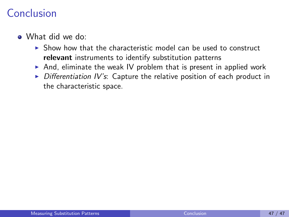## <span id="page-93-0"></span>Conclusion

- What did we do:
	- $\triangleright$  Show how that the characteristic model can be used to construct relevant instruments to identify substitution patterns
	- $\triangleright$  And, eliminate the weak IV problem that is present in applied work
	- $\triangleright$  Differentiation IV's: Capture the relative position of each product in the characteristic space.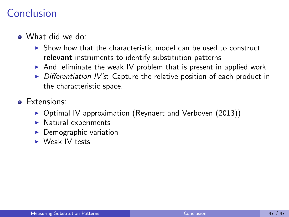## Conclusion

- What did we do:
	- $\triangleright$  Show how that the characteristic model can be used to construct relevant instruments to identify substitution patterns
	- $\triangleright$  And, eliminate the weak IV problem that is present in applied work
	- $\triangleright$  Differentiation IV's: Capture the relative position of each product in the characteristic space.
- **•** Extensions:
	- $\triangleright$  Optimal IV approximation (Reynaert and Verboven (2013))
	- $\blacktriangleright$  Natural experiments
	- Demographic variation
	- $\triangleright$  Weak IV tests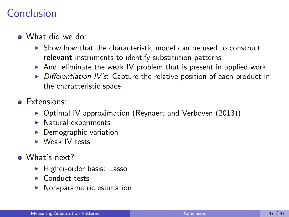## Conclusion

- What did we do:
	- $\triangleright$  Show how that the characteristic model can be used to construct relevant instruments to identify substitution patterns
	- And, eliminate the weak IV problem that is present in applied work
	- $\triangleright$  Differentiation IV's: Capture the relative position of each product in the characteristic space.
- **e** Extensions:
	- $\triangleright$  Optimal IV approximation (Reynaert and Verboven (2013))
	- $\blacktriangleright$  Natural experiments
	- $\blacktriangleright$  Demographic variation
	- $\triangleright$  Weak IV tests
- What's next?
	- $\blacktriangleright$  Higher-order basis: Lasso
	- $\blacktriangleright$  Conduct tests
	- $\blacktriangleright$  Non-parametric estimation